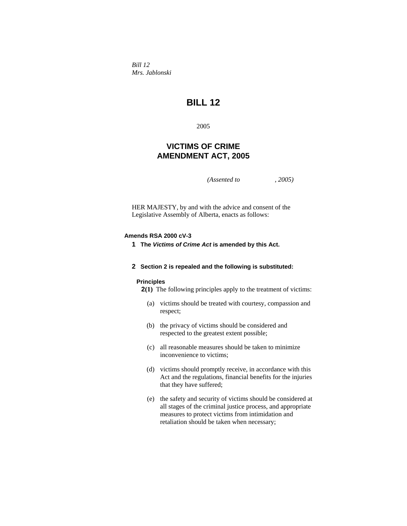*Bill 12 Mrs. Jablonski* 

# **BILL 12**

2005

# **VICTIMS OF CRIME AMENDMENT ACT, 2005**

*(Assented to , 2005)* 

HER MAJESTY, by and with the advice and consent of the Legislative Assembly of Alberta, enacts as follows:

## **Amends RSA 2000 cV-3**

**1 The** *Victims of Crime Act* **is amended by this Act.**

## **2 Section 2 is repealed and the following is substituted:**

#### **Principles**

**2(1)** The following principles apply to the treatment of victims:

- (a) victims should be treated with courtesy, compassion and respect;
- (b) the privacy of victims should be considered and respected to the greatest extent possible;
- (c) all reasonable measures should be taken to minimize inconvenience to victims;
- (d) victims should promptly receive, in accordance with this Act and the regulations, financial benefits for the injuries that they have suffered;
- (e) the safety and security of victims should be considered at all stages of the criminal justice process, and appropriate measures to protect victims from intimidation and retaliation should be taken when necessary;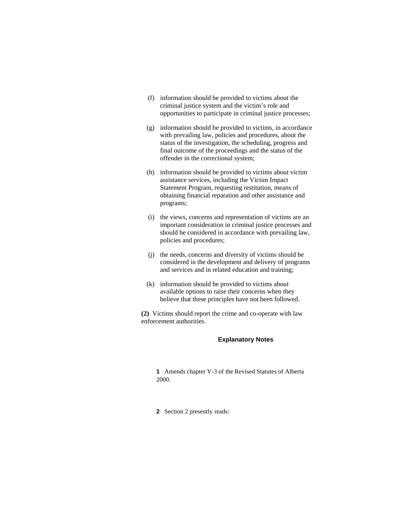- (f) information should be provided to victims about the criminal justice system and the victim's role and opportunities to participate in criminal justice processes;
- (g) information should be provided to victims, in accordance with prevailing law, policies and procedures, about the status of the investigation, the scheduling, progress and final outcome of the proceedings and the status of the offender in the correctional system;
- (h) information should be provided to victims about victim assistance services, including the Victim Impact Statement Program, requesting restitution, means of obtaining financial reparation and other assistance and programs;
- (i) the views, concerns and representation of victims are an important consideration in criminal justice processes and should be considered in accordance with prevailing law, policies and procedures;
- (j) the needs, concerns and diversity of victims should be considered in the development and delivery of programs and services and in related education and training;
- (k) information should be provided to victims about available options to raise their concerns when they believe that these principles have not been followed.

**(2)** Victims should report the crime and co-operate with law enforcement authorities.

#### **Explanatory Notes**

**1** Amends chapter V-3 of the Revised Statutes of Alberta 2000.

**2** Section 2 presently reads: